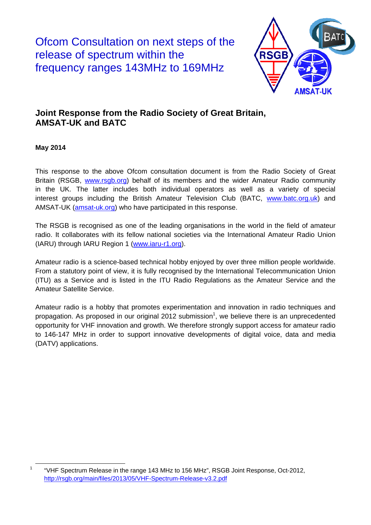Ofcom Consultation on next steps of the release of spectrum within the frequency ranges 143MHz to 169MHz



## **Joint Response from the Radio Society of Great Britain, AMSAT-UK and BATC**

**May 2014** 

This response to the above Ofcom consultation document is from the Radio Society of Great Britain (RSGB, www.rsgb.org) behalf of its members and the wider Amateur Radio community in the UK. The latter includes both individual operators as well as a variety of special interest groups including the British Amateur Television Club (BATC, www.batc.org.uk) and AMSAT-UK [\(amsat-uk.org](http://amsat-uk.org/)) who have participated in this response.

The RSGB is recognised as one of the leading organisations in the world in the field of amateur radio. It collaborates with its fellow national societies via the International Amateur Radio Union (IARU) through IARU Region 1 (www.iaru-r1.org).

Amateur radio is a science-based technical hobby enjoyed by over three million people worldwide. From a statutory point of view, it is fully recognised by the International Telecommunication Union (ITU) as a Service and is listed in the ITU Radio Regulations as the Amateur Service and the Amateur Satellite Service.

Amateur radio is a hobby that promotes experimentation and innovation in radio techniques and propagation. As proposed in our original 2012 submission<sup>1</sup>, we believe there is an unprecedented opportunity for VHF innovation and growth. We therefore strongly support access for amateur radio to 146-147 MHz in order to support innovative developments of digital voice, data and media (DATV) applications.

TERTLESS THE Spectrum Release in the range 143 MHz to 156 MHz", RSGB Joint Response, Oct-2012, http://rsgb.org/main/files/2013/05/VHF-Spectrum-Release-v3.2.pdf